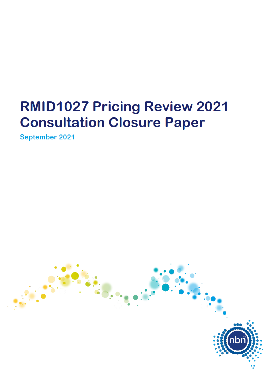# **RMID1027 Pricing Review 2021 Consultation Closure Paper**

September 2021

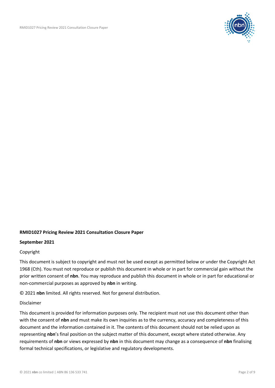

#### **RMID1027 Pricing Review 2021 Consultation Closure Paper**

#### **September 2021**

#### Copyright

This document is subject to copyright and must not be used except as permitted below or under the Copyright Act 1968 (Cth). You must not reproduce or publish this document in whole or in part for commercial gain without the prior written consent of **nbn**. You may reproduce and publish this document in whole or in part for educational or non-commercial purposes as approved by **nbn** in writing.

© 2021 **nbn** limited. All rights reserved. Not for general distribution.

#### Disclaimer

This document is provided for information purposes only. The recipient must not use this document other than with the consent of **nbn** and must make its own inquiries as to the currency, accuracy and completeness of this document and the information contained in it. The contents of this document should not be relied upon as representing **nbn**'s final position on the subject matter of this document, except where stated otherwise. Any requirements of **nbn** or views expressed by **nbn** in this document may change as a consequence of **nbn** finalising formal technical specifications, or legislative and regulatory developments.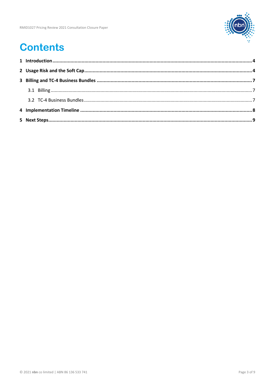

## **Contents**

....................................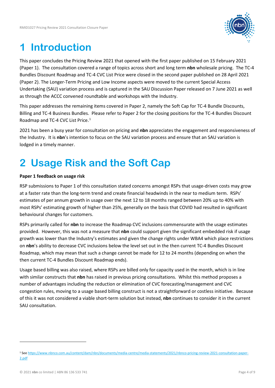

## **1 Introduction**

This paper concludes the Pricing Review 2021 that opened with the first paper published on 15 February 2021 (Paper 1). The consultation covered a range of topics across short and long term **nbn** wholesale pricing. The TC-4 Bundles Discount Roadmap and TC-4 CVC List Price were closed in the second paper published on 28 April 2021 (Paper 2). The Longer-Term Pricing and Low Income aspects were moved to the current Special Access Undertaking (SAU) variation process and is captured in the SAU Discussion Paper released on 7 June 2021 as well as through the ACCC convened roundtable and workshops with the Industry.

This paper addresses the remaining items covered in Paper 2, namely the Soft Cap for TC-4 Bundle Discounts, Billing and TC-4 Business Bundles. Please refer to Paper 2 for the closing positions for the TC-4 Bundles Discount Roadmap and TC-4 CVC List Price.<sup>1</sup>

2021 has been a busy year for consultation on pricing and **nbn** appreciates the engagement and responsiveness of the Industry. It is **nbn**'s intention to focus on the SAU variation process and ensure that an SAU variation is lodged in a timely manner.

## **2 Usage Risk and the Soft Cap**

#### **Paper 1 feedback on usage risk**

RSP submissions to Paper 1 of this consultation stated concerns amongst RSPs that usage-driven costs may grow at a faster rate than the long-term trend and create financial headwinds in the near to medium term. RSPs' estimates of per annum growth in usage over the next 12 to 18 months ranged between 20% up to 40% with most RSPs' estimating growth of higher than 25%, generally on the basis that COVID had resulted in significant behavioural changes for customers.

RSPs primarily called for **nbn** to increase the Roadmap CVC inclusions commensurate with the usage estimates provided. However, this was not a measure that **nbn** could support given the significant embedded risk if usage growth was lower than the Industry's estimates and given the change rights under WBA4 which place restrictions on **nbn**'s ability to decrease CVC inclusions below the level set out in the then current TC-4 Bundles Discount Roadmap, which may mean that such a change cannot be made for 12 to 24 months (depending on when the then current TC-4 Bundles Discount Roadmap ends).

Usage based billing was also raised, where RSPs are billed only for capacity used in the month, which is in line with similar constructs that **nbn** has raised in previous pricing consultations. Whilst this method proposes a number of advantages including the reduction or elimination of CVC forecasting/management and CVC congestion rules, moving to a usage based billing construct is not a straightforward or costless initiative. Because of this it was not considered a viable short-term solution but instead, **nbn** continues to consider it in the current SAU consultation.

<sup>1</sup> See https://www.nbnco.com.au/content/dam/nbn/documents/media-centre/media-statements/2021/nbnco-pricing-review-2021-consultation-paper-2.pdf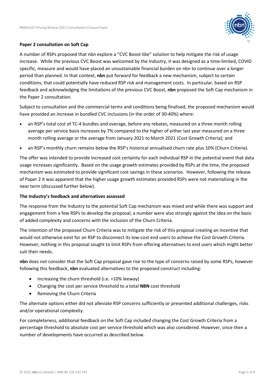

#### **Paper 2 consultation on Soft Cap**

A number of RSPs proposed that nbn explore a "CVC Boost-like" solution to help mitigate the risk of usage increase. While the previous CVC Boost was welcomed by the Industry, it was designed as a time-limited, COVID specific, measure and would have placed an unsustainable financial burden on nbn to continue over a longer period than planned. In that context, **nbn** put forward for feedback a new mechanism, subject to certain conditions, that could potentially have reduced RSP risk and management costs. In particular, based on RSP feedback and acknowledging the limitations of the previous CVC Boost, **nbn** proposed the Soft Cap mechanism in the Paper 2 consultation.

Subject to consultation and the commercial terms and conditions being finalised, the proposed mechanism would have provided an increase in bundled CVC inclusions (in the order of 30-40%) where:

- an RSP's total cost of TC-4 bundles and overage, before any rebates, measured on a three month rolling average per service basis increases by 7% compared to the higher of either last year measured on a three month rolling average or the average from January 2021 to March 2021 (Cost Growth Criteria); and
- an RSP's monthly churn remains below the RSP's historical annualised churn rate plus 10% (Churn Criteria).

The offer was intended to provide increased cost certainty for each individual RSP in the potential event that data usage increases significantly. Based on the usage growth estimates provided by RSPs at the time, the proposed mechanism was estimated to provide significant cost savings in these scenarios. However, following the release of Paper 2 it was apparent that the higher usage growth estimates provided RSPs were not materialising in the near term (discussed further below).

#### **The Industry's feedback and alternatives assessed**

The response from the Industry to the potential Soft Cap mechanism was mixed and while there was support and engagement from a few RSPs to develop the proposal, a number were also strongly against the idea on the basis of added complexity and concerns with the inclusion of the Churn Criteria.

The intention of the proposed Churn Criteria was to mitigate the risk of this proposal creating an incentive that would not otherwise exist for an RSP to disconnect its low-cost end users to achieve the Cost Growth Criteria. However, nothing in this proposal sought to limit RSPs from offering alternatives to end users which might better suit their needs.

**nbn** does not consider that the Soft Cap proposal gave rise to the type of concerns raised by some RSPs, however following this feedback, **nbn** evaluated alternatives to the proposed construct including:

- Increasing the churn threshold (i.e. >10% leeway)
- Changing the cost per service threshold to a total **NBN** cost threshold
- Removing the Churn Criteria

The alternate options either did not alleviate RSP concerns sufficiently or presented additional challenges, risks and/or operational complexity.

For completeness, additional feedback on the Soft Cap included changing the Cost Growth Criteria from a percentage threshold to absolute cost per service threshold which was also considered. However, since then a number of developments have occurred as described below.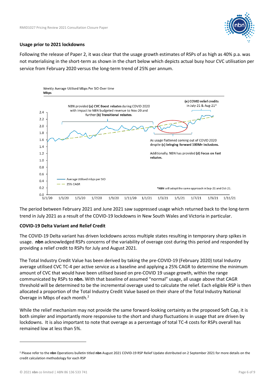

#### **Usage prior to 2021 lockdowns**

Following the release of Paper 2, it was clear that the usage growth estimates of RSPs of as high as 40% p.a. was not materialising in the short-term as shown in the chart below which depicts actual busy hour CVC utilisation per service from February 2020 versus the long-term trend of 25% per annum.



The period between February 2021 and June 2021 saw suppressed usage which returned back to the long-term trend in July 2021 as a result of the COVID-19 lockdowns in New South Wales and Victoria in particular.

#### **COVID-19 Delta Variant and Relief Credit**

The COVID-19 Delta variant has driven lockdowns across multiple states resulting in temporary sharp spikes in usage. **nbn** acknowledged RSPs concerns of the variability of overage cost during this period and responded by providing a relief credit to RSPs for July and August 2021.

The Total Industry Credit Value has been derived by taking the pre-COVID-19 (February 2020) total Industry average utilised CVC TC-4 per active service as a baseline and applying a 25% CAGR to determine the minimum amount of CVC that would have been utilised based on pre-COVID 19 usage growth, within the range communicated by RSPs to **nbn.** With that baseline of assumed "normal" usage, all usage above that CAGR threshold will be determined to be the incremental overage used to calculate the relief. Each eligible RSP is then allocated a proportion of the Total Industry Credit Value based on their share of the Total Industry National Overage in Mbps of each month.<sup>2</sup>

While the relief mechanism may not provide the same forward-looking certainty as the proposed Soft Cap, it is both simpler and importantly more responsive to the short and sharp fluctuations in usage that are driven by lockdowns. It is also important to note that overage as a percentage of total TC-4 costs for RSPs overall has remained low at less than 5%.

<sup>2</sup> Please refer to the **nbn** Operations bulletin titled **nbn** August 2021 COVID-19 RSP Relief Update distributed on 2 September 2021 for more details on the credit calculation methodology for each RSP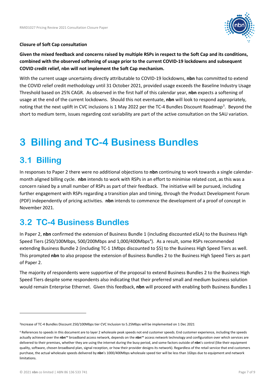

#### **Closure of Soft Cap consultation**

**Given the mixed feedback and concerns raised by multiple RSPs in respect to the Soft Cap and its conditions, combined with the observed softening of usage prior to the current COVID-19 lockdowns and subsequent COVID credit relief, nbn will not implement the Soft Cap mechanism.** 

With the current usage uncertainty directly attributable to COVID-19 lockdowns, **nbn** has committed to extend the COVID relief credit methodology until 31 October 2021, provided usage exceeds the Baseline Industry Usage Threshold based on 25% CAGR. As observed in the first half of this calendar year, **nbn** expects a softening of usage at the end of the current lockdowns. Should this not eventuate, **nbn** will look to respond appropriately, noting that the next uplift in CVC inclusions is 1 May 2022 per the TC-4 Bundles Discount Roadmap<sup>3</sup>. Beyond the short to medium term, issues regarding cost variability are part of the active consultation on the SAU variation.

### **3 Billing and TC-4 Business Bundles**

### **3.1 Billing**

In responses to Paper 2 there were no additional objections to **nbn** continuing to work towards a single calendarmonth aligned billing cycle. **nbn** intends to work with RSPs in an effort to minimise related cost, as this was a concern raised by a small number of RSPs as part of their feedback. The initiative will be pursued, including further engagement with RSPs regarding a transition plan and timing, through the Product Development Forum (PDF) independently of pricing activities. **nbn** intends to commence the development of a proof of concept in November 2021.

### **3.2 TC-4 Business Bundles**

In Paper 2, **nbn** confirmed the extension of Business Bundle 1 (including discounted eSLA) to the Business High Speed Tiers (250/100Mbps, 500/200Mbps and 1,000/400Mbps<sup>4</sup>). As a result, some RSPs recommended extending Business Bundle 2 (including TC-1 1Mbps discounted to \$5) to the Business High Speed Tiers as well. This prompted **nbn** to also propose the extension of Business Bundles 2 to the Business High Speed Tiers as part of Paper 2.

The majority of respondents were supportive of the proposal to extend Business Bundles 2 to the Business High Speed Tiers despite some respondents also indicating that their preferred small and medium business solution would remain Enterprise Ethernet. Given this feedback, **nbn** will proceed with enabling both Business Bundles 1

<sup>3</sup>Increase of TC-4 Bundles Discount 250/100Mbps tier CVC Inclusion to 5.25Mbps will be implemented on 1 Dec 2021

<sup>4</sup> References to speeds in this document are to layer 2 wholesale peak speeds not end customer speeds. End customer experience, including the speeds actually achieved over the **nbn**™ broadband access network, depends on the **nbn**™ access network technology and configuration over which services are delivered to their premises, whether they are using the internet during the busy period, and some factors outside of **nbn**'s control (like their equipment quality, software, chosen broadband plan, signal reception, or how their provider designs its network). Regardless of the retail service that end customers purchase, the actual wholesale speeds delivered by **nbn**'s 1000/400Mbps wholesale speed tier will be less than 1Gbps due to equipment and network limitations.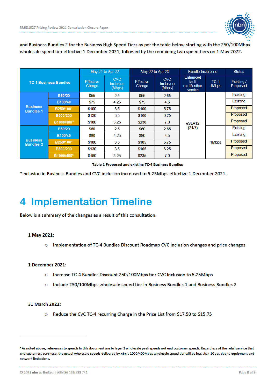

and Business Bundles 2 for the Business High Speed Tiers as per the table below starting with the 250/100Mbps wholesale speed tier effective 1 December 2021, followed by the remaining two speed tiers on 1 May 2022.

|                                     |                              | May 21 to Apr 22           |                                          | May 22 to Apr 23           |                                          | <b>Bundle Inclusions</b>                      |                 | <b>Status</b>          |
|-------------------------------------|------------------------------|----------------------------|------------------------------------------|----------------------------|------------------------------------------|-----------------------------------------------|-----------------|------------------------|
|                                     | <b>TC-4 Business Bundles</b> | <b>Effective</b><br>Charge | <b>CVC</b><br><b>Inclusion</b><br>(Mbps) | <b>Effective</b><br>Charge | <b>CVC</b><br><b>Inclusion</b><br>(Mbps) | Enhanced<br>fault<br>rectification<br>service | $TC-1$<br>1Mbps | Existing /<br>Proposed |
|                                     | <b>B50/20</b>                | \$55                       | 2.5                                      | \$55                       | 2.65                                     | eSLA <sub>12</sub>                            |                 | <b>Existing</b>        |
|                                     | B100/40                      | \$75                       | 4.25                                     | \$75                       | 4.5                                      |                                               |                 | <b>Existing</b>        |
| <b>Business</b><br><b>Bundles 1</b> | B250/100*                    | \$100                      | 3.5                                      | \$100                      | 5.75                                     |                                               |                 | Proposed               |
|                                     | B500/200                     | \$130                      | 3.5                                      | \$160                      | 6.25                                     |                                               |                 | Proposed               |
|                                     | B1000/400 <sup>5</sup>       | \$180                      | 3.25                                     | \$230                      | 7.0                                      |                                               |                 | Proposed               |
|                                     | <b>B50/20</b>                | \$60                       | 2.5                                      | \$60                       | 2.65                                     | (24/7)                                        |                 | <b>Existing</b>        |
|                                     | B100/40                      | \$80                       | 4.25                                     | \$80                       | 4.5                                      |                                               |                 | <b>Existing</b>        |
| <b>Business</b><br><b>Bundles 2</b> | B250/100*                    | \$100                      | 3.5                                      | \$105                      | 5.75                                     |                                               | 1Mbps           | Proposed               |
|                                     | B500/200                     | \$130                      | 3.5                                      | \$165                      | 6.25                                     |                                               |                 | Proposed               |
|                                     | B1000/400 <sup>5</sup>       | \$180                      | 3.25                                     | \$235                      | 7.0                                      |                                               |                 | Proposed               |

Table 1 Proposed and existing TC-4 Business Bundles

\*inclusion in Business Bundles and CVC inclusion increased to 5.25Mbps effective 1 December 2021.

### **4 Implementation Timeline**

Below is a summary of the changes as a result of this consultation.

#### 1 May 2021:

Implementation of TC-4 Bundles Discount Roadmap CVC inclusion changes and price changes  $\circ$ 

#### 1 December 2021:

- Increase TC-4 Bundles Discount 250/100Mbps tier CVC Inclusion to 5.25Mbps  $\Omega$
- Include 250/100Mbps wholesale speed tier in Business Bundles 1 and Business Bundles 2  $\circ$

#### 31 March 2022:

O Reduce the CVC TC-4 recurring Charge in the Price List from \$17.50 to \$15.75

<sup>&</sup>lt;sup>5</sup> As noted above, references to speeds in this document are to layer 2 wholesale peak speeds not end customer speeds. Regardless of the retail service that end customers purchase, the actual wholesale speeds delivered by nbn's 1000/400Mbps wholesale speed tier will be less than 1Gbps due to equipment and network limitations.